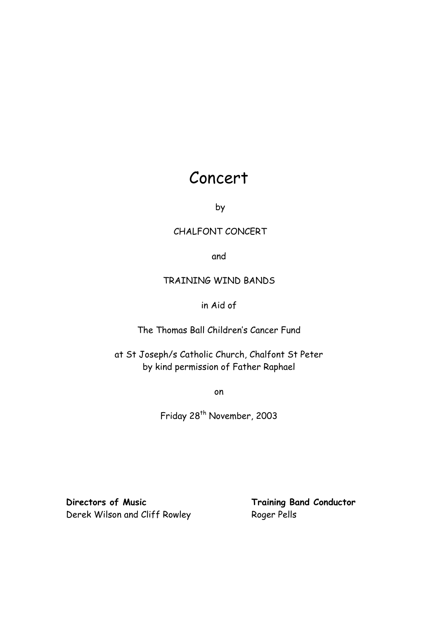# Concert

by

### CHALFONT CONCERT

and

### TRAINING WIND BANDS

### in Aid of

The Thomas Ball Children"s Cancer Fund

at St Joseph/s Catholic Church, Chalfont St Peter by kind permission of Father Raphael

on

Friday 28<sup>th</sup> November, 2003

**Directors of Music Training Band Conductor** Derek Wilson and Cliff Rowley Roger Pells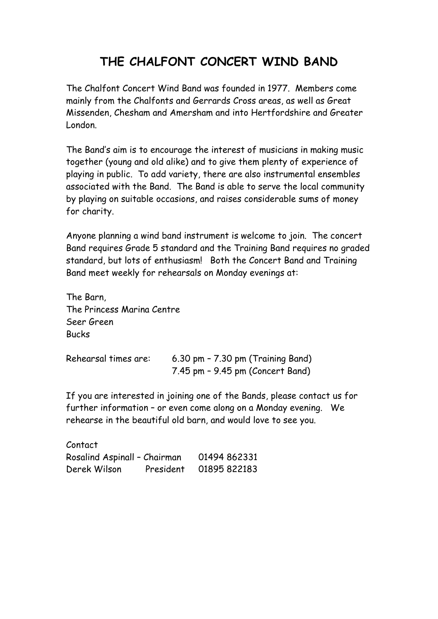# **THE CHALFONT CONCERT WIND BAND**

The Chalfont Concert Wind Band was founded in 1977. Members come mainly from the Chalfonts and Gerrards Cross areas, as well as Great Missenden, Chesham and Amersham and into Hertfordshire and Greater London.

The Band"s aim is to encourage the interest of musicians in making music together (young and old alike) and to give them plenty of experience of playing in public. To add variety, there are also instrumental ensembles associated with the Band. The Band is able to serve the local community by playing on suitable occasions, and raises considerable sums of money for charity.

Anyone planning a wind band instrument is welcome to join. The concert Band requires Grade 5 standard and the Training Band requires no graded standard, but lots of enthusiasm! Both the Concert Band and Training Band meet weekly for rehearsals on Monday evenings at:

The Barn, The Princess Marina Centre Seer Green Bucks

| Rehearsal times are: | 6.30 pm - 7.30 pm (Training Band)    |
|----------------------|--------------------------------------|
|                      | $7.45$ pm $-$ 9.45 pm (Concert Band) |

If you are interested in joining one of the Bands, please contact us for further information – or even come along on a Monday evening. We rehearse in the beautiful old barn, and would love to see you.

| Contact                      |           |              |
|------------------------------|-----------|--------------|
| Rosalind Aspinall - Chairman |           | 01494 862331 |
| Derek Wilson                 | President | 01895 822183 |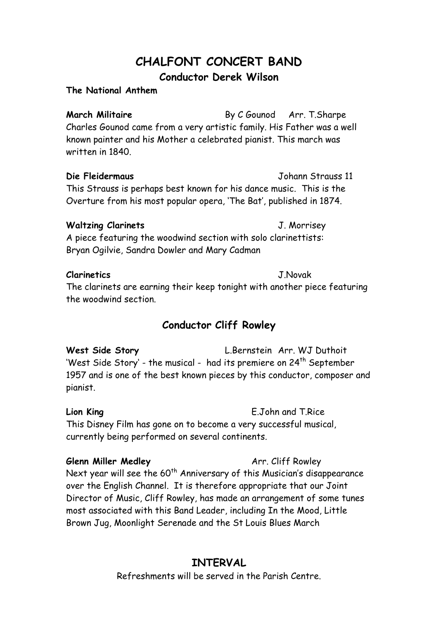# **CHALFONT CONCERT BAND Conductor Derek Wilson**

**The National Anthem**

**March Militaire** By C Gounod Arr. T.Sharpe Charles Gounod came from a very artistic family. His Father was a well known painter and his Mother a celebrated pianist. This march was written in 1840.

**Die Fleidermaus** Johann Strauss 11 This Strauss is perhaps best known for his dance music. This is the Overture from his most popular opera, "The Bat", published in 1874.

### **Waltzing Clarinets** J. Morrisey

A piece featuring the woodwind section with solo clarinettists: Bryan Ogilvie, Sandra Dowler and Mary Cadman

### **Clarinetics** J.Novak

The clarinets are earning their keep tonight with another piece featuring the woodwind section.

## **Conductor Cliff Rowley**

**West Side Story** L.Bernstein Arr. WJ Duthoit 'West Side Story' - the musical - had its premiere on 24<sup>th</sup> September 1957 and is one of the best known pieces by this conductor, composer and pianist.

**Lion King** E.John and T.Rice This Disney Film has gone on to become a very successful musical, currently being performed on several continents.

**Glenn Miller Medley Arr.** Cliff Rowley Next year will see the 60<sup>th</sup> Anniversary of this Musician's disappearance over the English Channel. It is therefore appropriate that our Joint Director of Music, Cliff Rowley, has made an arrangement of some tunes most associated with this Band Leader, including In the Mood, Little Brown Jug, Moonlight Serenade and the St Louis Blues March

## **INTERVAL**

Refreshments will be served in the Parish Centre.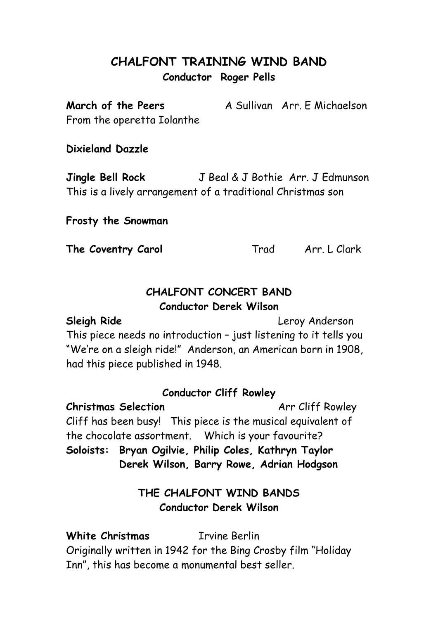# **CHALFONT TRAINING WIND BAND Conductor Roger Pells**

**March of the Peers** A Sullivan Arr. F Michaelson From the operetta Iolanthe

### **Dixieland Dazzle**

**Jingle Bell Rock** J Beal & J Bothie Arr. J Edmunson This is a lively arrangement of a traditional Christmas son

### **Frosty the Snowman**

**The Coventry Carol** Trad Arr. L Clark

## **CHALFONT CONCERT BAND Conductor Derek Wilson**

**Sleigh Ride** Leroy Anderson This piece needs no introduction – just listening to it tells you "We"re on a sleigh ride!" Anderson, an American born in 1908, had this piece published in 1948.

### **Conductor Cliff Rowley**

**Christmas Selection Arr Cliff Rowley** Cliff has been busy! This piece is the musical equivalent of the chocolate assortment. Which is your favourite? **Soloists: Bryan Ogilvie, Philip Coles, Kathryn Taylor Derek Wilson, Barry Rowe, Adrian Hodgson**

# **THE CHALFONT WIND BANDS Conductor Derek Wilson**

**White Christmas** Irvine Berlin Originally written in 1942 for the Bing Crosby film "Holiday Inn", this has become a monumental best seller.